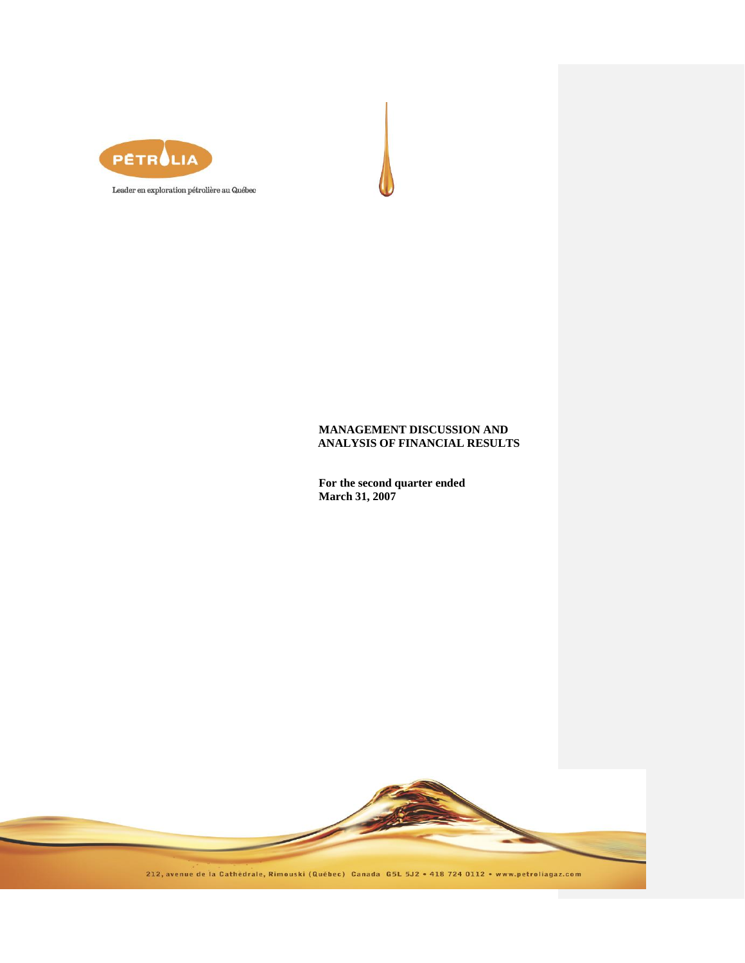

Leader en exploration pétrolière au Québec

# **MANAGEMENT DISCUSSION AND ANALYSIS OF FINANCIAL RESULTS**

**For the second quarter ended March 31, 2007**

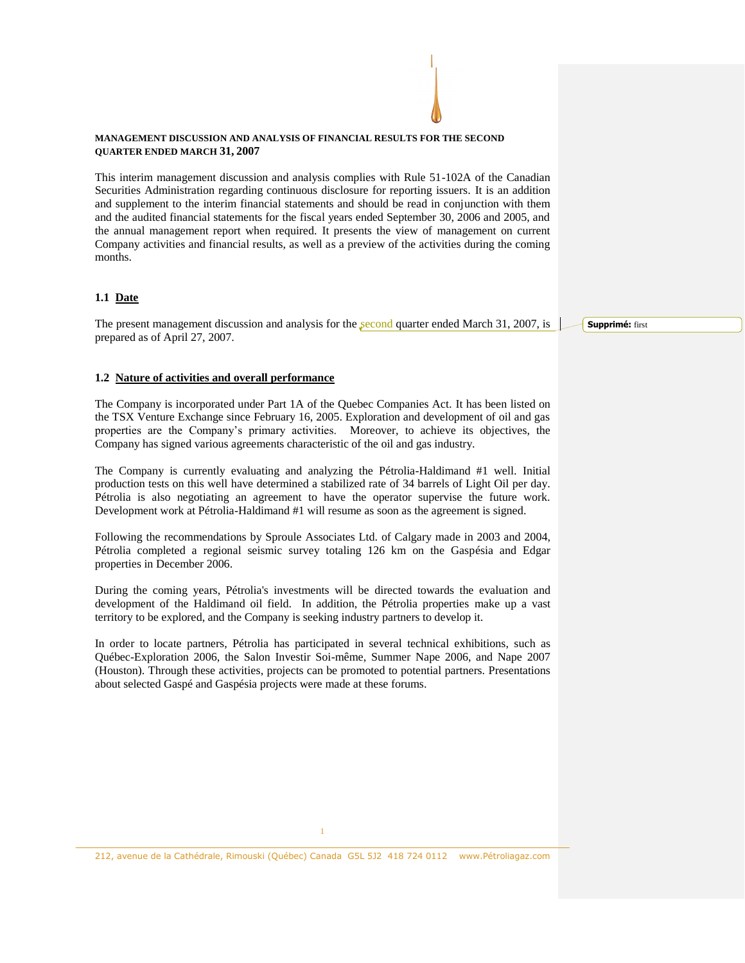#### **MANAGEMENT DISCUSSION AND ANALYSIS OF FINANCIAL RESULTS FOR THE SECOND QUARTER ENDED MARCH 31, 2007**

This interim management discussion and analysis complies with Rule 51-102A of the Canadian Securities Administration regarding continuous disclosure for reporting issuers. It is an addition and supplement to the interim financial statements and should be read in conjunction with them and the audited financial statements for the fiscal years ended September 30, 2006 and 2005, and the annual management report when required. It presents the view of management on current Company activities and financial results, as well as a preview of the activities during the coming months.

### **1.1 Date**

The present management discussion and analysis for the second quarter ended March 31, 2007, is prepared as of April 27, 2007.

### **1.2 Nature of activities and overall performance**

The Company is incorporated under Part 1A of the Quebec Companies Act. It has been listed on the TSX Venture Exchange since February 16, 2005. Exploration and development of oil and gas properties are the Company's primary activities. Moreover, to achieve its objectives, the Company has signed various agreements characteristic of the oil and gas industry.

The Company is currently evaluating and analyzing the Pétrolia-Haldimand #1 well. Initial production tests on this well have determined a stabilized rate of 34 barrels of Light Oil per day. Pétrolia is also negotiating an agreement to have the operator supervise the future work. Development work at Pétrolia-Haldimand #1 will resume as soon as the agreement is signed.

Following the recommendations by Sproule Associates Ltd. of Calgary made in 2003 and 2004, Pétrolia completed a regional seismic survey totaling 126 km on the Gaspésia and Edgar properties in December 2006.

During the coming years, Pétrolia's investments will be directed towards the evaluation and development of the Haldimand oil field. In addition, the Pétrolia properties make up a vast territory to be explored, and the Company is seeking industry partners to develop it.

In order to locate partners, Pétrolia has participated in several technical exhibitions, such as Québec-Exploration 2006, the Salon Investir Soi-même, Summer Nape 2006, and Nape 2007 (Houston). Through these activities, projects can be promoted to potential partners. Presentations about selected Gaspé and Gaspésia projects were made at these forums.

212, avenue de la Cathédrale, Rimouski (Québec) Canada G5L 5J2 418 724 0112 www.Pétroliagaz.com

**Supprimé:** first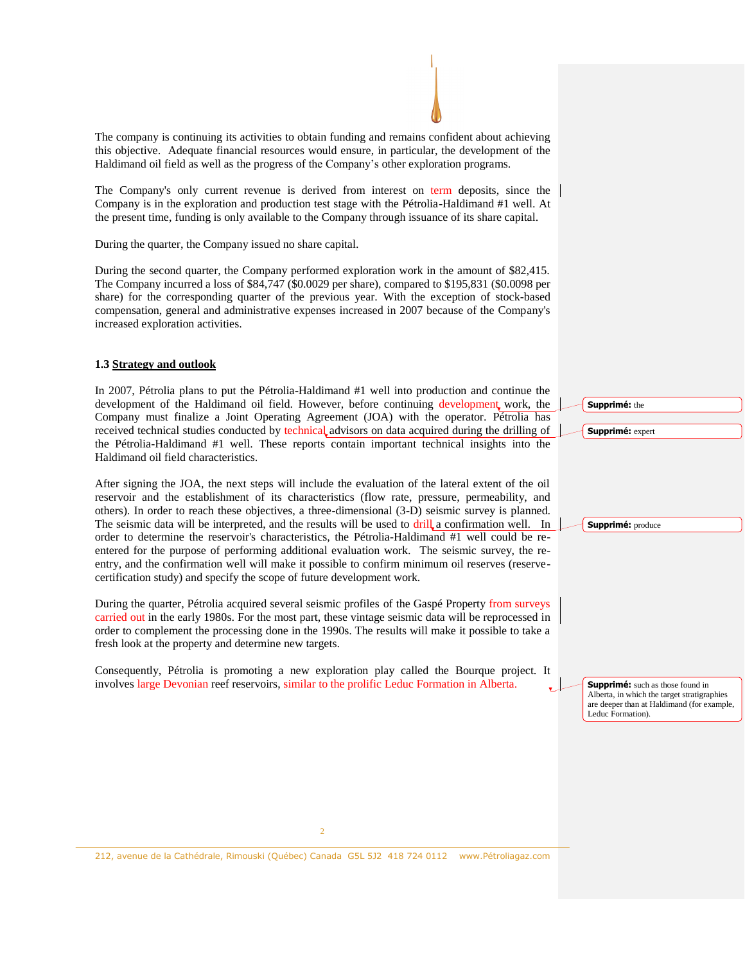The company is continuing its activities to obtain funding and remains confident about achieving this objective. Adequate financial resources would ensure, in particular, the development of the Haldimand oil field as well as the progress of the Company's other exploration programs.

The Company's only current revenue is derived from interest on term deposits, since the Company is in the exploration and production test stage with the Pétrolia-Haldimand #1 well. At the present time, funding is only available to the Company through issuance of its share capital.

During the quarter, the Company issued no share capital.

During the second quarter, the Company performed exploration work in the amount of \$82,415. The Company incurred a loss of \$84,747 (\$0.0029 per share), compared to \$195,831 (\$0.0098 per share) for the corresponding quarter of the previous year. With the exception of stock-based compensation, general and administrative expenses increased in 2007 because of the Company's increased exploration activities.

### **1.3 Strategy and outlook**

In 2007, Pétrolia plans to put the Pétrolia-Haldimand #1 well into production and continue the development of the Haldimand oil field. However, before continuing development work, the Company must finalize a Joint Operating Agreement (JOA) with the operator. Pétrolia has received technical studies conducted by technical advisors on data acquired during the drilling of the Pétrolia-Haldimand #1 well. These reports contain important technical insights into the Haldimand oil field characteristics.

After signing the JOA, the next steps will include the evaluation of the lateral extent of the oil reservoir and the establishment of its characteristics (flow rate, pressure, permeability, and others). In order to reach these objectives, a three-dimensional (3-D) seismic survey is planned. The seismic data will be interpreted, and the results will be used to drill a confirmation well. In order to determine the reservoir's characteristics, the Pétrolia-Haldimand #1 well could be reentered for the purpose of performing additional evaluation work. The seismic survey, the reentry, and the confirmation well will make it possible to confirm minimum oil reserves (reservecertification study) and specify the scope of future development work.

During the quarter, Pétrolia acquired several seismic profiles of the Gaspé Property from surveys carried out in the early 1980s. For the most part, these vintage seismic data will be reprocessed in order to complement the processing done in the 1990s. The results will make it possible to take a fresh look at the property and determine new targets.

Consequently, Pétrolia is promoting a new exploration play called the Bourque project. It involves large Devonian reef reservoirs, similar to the prolific Leduc Formation in Alberta.

**Supprimé:** the **Supprimé:** expert **Supprimé:** produce **Supprimé:** such as those found in Alberta, in which the target stratigraphies are deeper than at Haldimand (for example, Leduc Formation).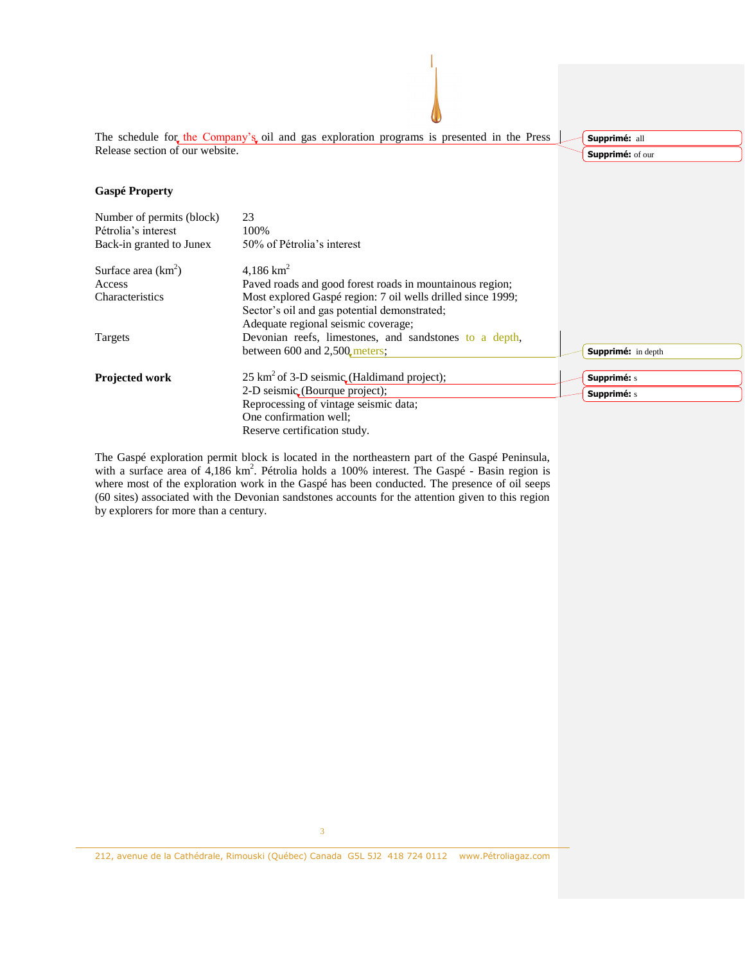

The Gaspé exploration permit block is located in the northeastern part of the Gaspé Peninsula, with a surface area of  $4,186$  km<sup>2</sup>. Pétrolia holds a 100% interest. The Gaspé - Basin region is where most of the exploration work in the Gaspé has been conducted. The presence of oil seeps (60 sites) associated with the Devonian sandstones accounts for the attention given to this region by explorers for more than a century.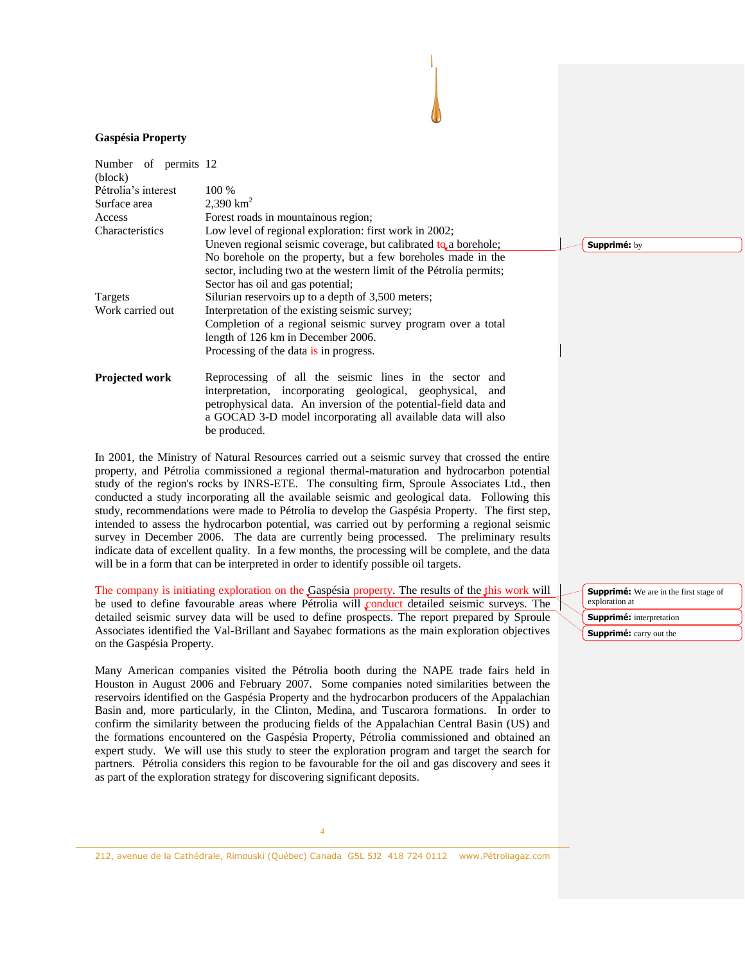#### **Gaspésia Property**

| Number of permits 12<br>(block) |                                                                                                                                                                                                                                                                                 |  |  |  |  |  |
|---------------------------------|---------------------------------------------------------------------------------------------------------------------------------------------------------------------------------------------------------------------------------------------------------------------------------|--|--|--|--|--|
| Pétrolia's interest             | 100 %                                                                                                                                                                                                                                                                           |  |  |  |  |  |
| Surface area                    | 2,390 $km^2$                                                                                                                                                                                                                                                                    |  |  |  |  |  |
| Access                          | Forest roads in mountainous region;                                                                                                                                                                                                                                             |  |  |  |  |  |
| Characteristics                 | Low level of regional exploration: first work in 2002;                                                                                                                                                                                                                          |  |  |  |  |  |
|                                 | Uneven regional seismic coverage, but calibrated $t_0$ a borehole;                                                                                                                                                                                                              |  |  |  |  |  |
|                                 | No borehole on the property, but a few boreholes made in the<br>sector, including two at the western limit of the Pétrolia permits;                                                                                                                                             |  |  |  |  |  |
|                                 | Sector has oil and gas potential;                                                                                                                                                                                                                                               |  |  |  |  |  |
| Targets                         | Silurian reservoirs up to a depth of 3,500 meters;                                                                                                                                                                                                                              |  |  |  |  |  |
| Work carried out                | Interpretation of the existing seismic survey;                                                                                                                                                                                                                                  |  |  |  |  |  |
|                                 | Completion of a regional seismic survey program over a total<br>length of 126 km in December 2006.                                                                                                                                                                              |  |  |  |  |  |
|                                 | Processing of the data is in progress.                                                                                                                                                                                                                                          |  |  |  |  |  |
| <b>Projected work</b>           | Reprocessing of all the seismic lines in the sector<br>and<br>interpretation, incorporating geological, geophysical,<br>and<br>petrophysical data. An inversion of the potential-field data and<br>a GOCAD 3-D model incorporating all available data will also<br>be produced. |  |  |  |  |  |

In 2001, the Ministry of Natural Resources carried out a seismic survey that crossed the entire property, and Pétrolia commissioned a regional thermal-maturation and hydrocarbon potential study of the region's rocks by INRS-ETE. The consulting firm, Sproule Associates Ltd., then conducted a study incorporating all the available seismic and geological data. Following this study, recommendations were made to Pétrolia to develop the Gaspésia Property. The first step, intended to assess the hydrocarbon potential, was carried out by performing a regional seismic survey in December 2006. The data are currently being processed. The preliminary results indicate data of excellent quality. In a few months, the processing will be complete, and the data will be in a form that can be interpreted in order to identify possible oil targets.

The company is initiating exploration on the Gaspésia property. The results of the this work will be used to define favourable areas where Pétrolia will conduct detailed seismic surveys. The detailed seismic survey data will be used to define prospects. The report prepared by Sproule Associates identified the Val-Brillant and Sayabec formations as the main exploration objectives on the Gaspésia Property.

Many American companies visited the Pétrolia booth during the NAPE trade fairs held in Houston in August 2006 and February 2007. Some companies noted similarities between the reservoirs identified on the Gaspésia Property and the hydrocarbon producers of the Appalachian Basin and, more particularly, in the Clinton, Medina, and Tuscarora formations. In order to confirm the similarity between the producing fields of the Appalachian Central Basin (US) and the formations encountered on the Gaspésia Property, Pétrolia commissioned and obtained an expert study. We will use this study to steer the exploration program and target the search for partners. Pétrolia considers this region to be favourable for the oil and gas discovery and sees it as part of the exploration strategy for discovering significant deposits.

**Supprimé:** We are in the first stage of exploration at **Supprimé:** interpretation **Supprimé:** carry out the

**Supprimé:** by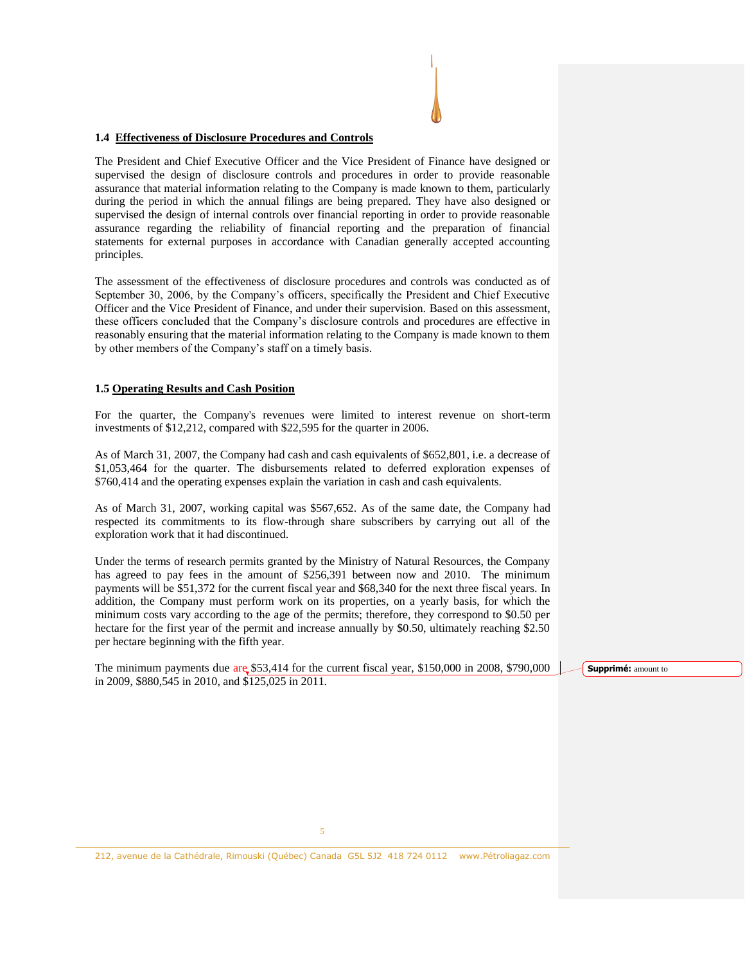#### **1.4 Effectiveness of Disclosure Procedures and Controls**

The President and Chief Executive Officer and the Vice President of Finance have designed or supervised the design of disclosure controls and procedures in order to provide reasonable assurance that material information relating to the Company is made known to them, particularly during the period in which the annual filings are being prepared. They have also designed or supervised the design of internal controls over financial reporting in order to provide reasonable assurance regarding the reliability of financial reporting and the preparation of financial statements for external purposes in accordance with Canadian generally accepted accounting principles.

The assessment of the effectiveness of disclosure procedures and controls was conducted as of September 30, 2006, by the Company's officers, specifically the President and Chief Executive Officer and the Vice President of Finance, and under their supervision. Based on this assessment, these officers concluded that the Company's disclosure controls and procedures are effective in reasonably ensuring that the material information relating to the Company is made known to them by other members of the Company's staff on a timely basis.

#### **1.5 Operating Results and Cash Position**

For the quarter, the Company's revenues were limited to interest revenue on short-term investments of \$12,212, compared with \$22,595 for the quarter in 2006.

As of March 31, 2007, the Company had cash and cash equivalents of \$652,801, i.e. a decrease of \$1,053,464 for the quarter. The disbursements related to deferred exploration expenses of \$760,414 and the operating expenses explain the variation in cash and cash equivalents.

As of March 31, 2007, working capital was \$567,652. As of the same date, the Company had respected its commitments to its flow-through share subscribers by carrying out all of the exploration work that it had discontinued.

Under the terms of research permits granted by the Ministry of Natural Resources, the Company has agreed to pay fees in the amount of \$256,391 between now and 2010. The minimum payments will be \$51,372 for the current fiscal year and \$68,340 for the next three fiscal years. In addition, the Company must perform work on its properties, on a yearly basis, for which the minimum costs vary according to the age of the permits; therefore, they correspond to \$0.50 per hectare for the first year of the permit and increase annually by \$0.50, ultimately reaching \$2.50 per hectare beginning with the fifth year.

The minimum payments due are \$53,414 for the current fiscal year, \$150,000 in 2008, \$790,000 in 2009, \$880,545 in 2010, and \$125,025 in 2011.

**Supprimé:** amount to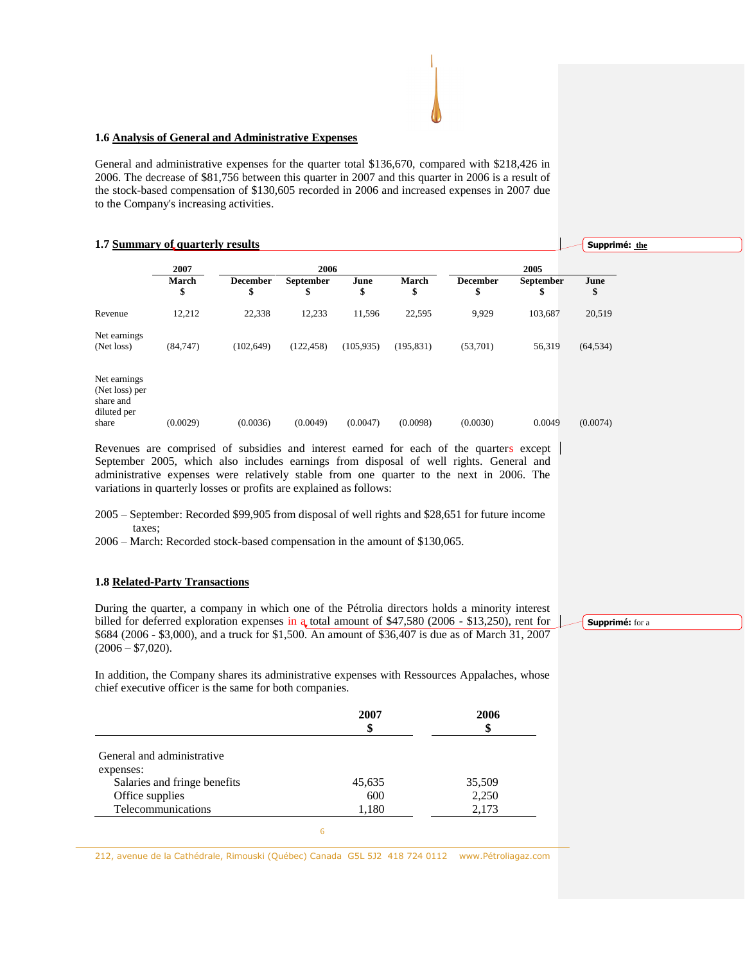#### **1.6 Analysis of General and Administrative Expenses**

General and administrative expenses for the quarter total \$136,670, compared with \$218,426 in 2006. The decrease of \$81,756 between this quarter in 2007 and this quarter in 2006 is a result of the stock-based compensation of \$130,605 recorded in 2006 and increased expenses in 2007 due to the Company's increasing activities.

#### **1.7 Summary of quarterly results**

|                                                                     | 2007<br>March<br>\$ | 2006                  |                 |            |             | 2005           |                 |            |
|---------------------------------------------------------------------|---------------------|-----------------------|-----------------|------------|-------------|----------------|-----------------|------------|
|                                                                     |                     | <b>December</b><br>\$ | September<br>\$ | June<br>\$ | March<br>\$ | December<br>\$ | September<br>\$ | June<br>\$ |
| Revenue                                                             | 12,212              | 22,338                | 12,233          | 11,596     | 22,595      | 9,929          | 103,687         | 20,519     |
| Net earnings<br>(Net loss)                                          | (84,747)            | (102, 649)            | (122, 458)      | (105, 935) | (195, 831)  | (53,701)       | 56,319          | (64, 534)  |
| Net earnings<br>(Net loss) per<br>share and<br>diluted per<br>share | (0.0029)            | (0.0036)              | (0.0049)        | (0.0047)   | (0.0098)    | (0.0030)       | 0.0049          | (0.0074)   |

Revenues are comprised of subsidies and interest earned for each of the quarters except September 2005, which also includes earnings from disposal of well rights. General and administrative expenses were relatively stable from one quarter to the next in 2006. The variations in quarterly losses or profits are explained as follows:

2006 – March: Recorded stock-based compensation in the amount of \$130,065.

### **1.8 Related-Party Transactions**

During the quarter, a company in which one of the Pétrolia directors holds a minority interest billed for deferred exploration expenses in a total amount of \$47,580 (2006 - \$13,250), rent for \$684 (2006 - \$3,000), and a truck for \$1,500. An amount of \$36,407 is due as of March 31, 2007  $(2006 - $7,020)$ .

**Supprimé:** for a

**Supprimé: the**

In addition, the Company shares its administrative expenses with Ressources Appalaches, whose chief executive officer is the same for both companies.

| \$     | \$     |
|--------|--------|
|        |        |
|        |        |
| 45,635 | 35,509 |
| 600    | 2,250  |
| 1,180  | 2,173  |
|        |        |

<sup>2005 –</sup> September: Recorded \$99,905 from disposal of well rights and \$28,651 for future income taxes;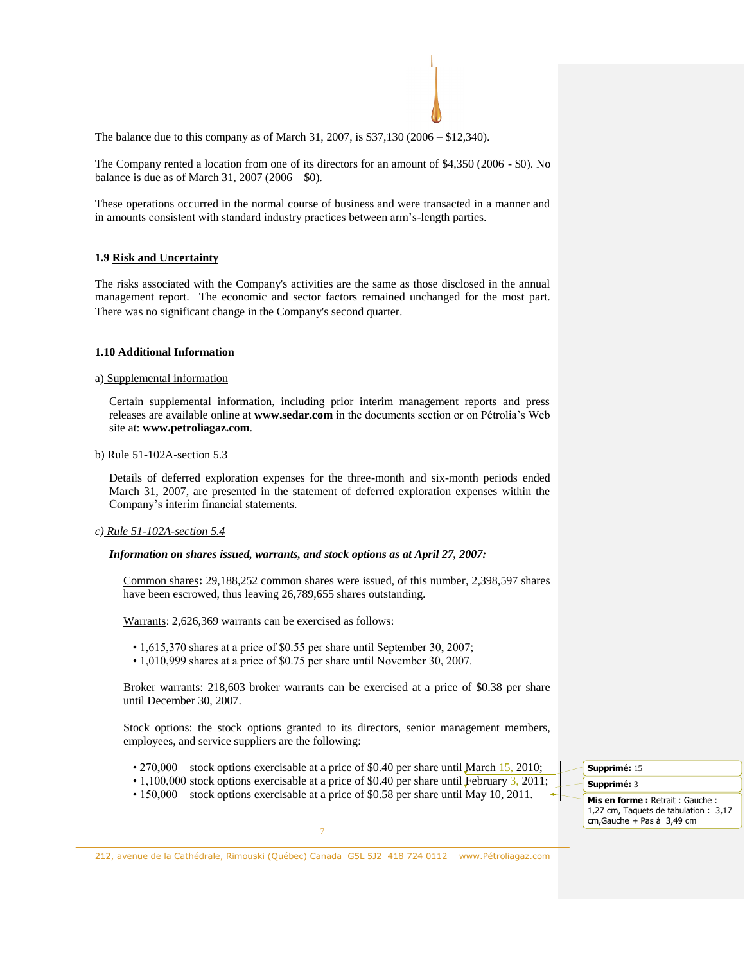The balance due to this company as of March 31, 2007, is \$37,130 (2006 – \$12,340).

The Company rented a location from one of its directors for an amount of \$4,350 (2006 - \$0). No balance is due as of March 31, 2007 (2006 – \$0).

These operations occurred in the normal course of business and were transacted in a manner and in amounts consistent with standard industry practices between arm's-length parties.

### **1.9 Risk and Uncertainty**

The risks associated with the Company's activities are the same as those disclosed in the annual management report. The economic and sector factors remained unchanged for the most part. There was no significant change in the Company's second quarter.

#### **1.10 Additional Information**

#### a) Supplemental information

Certain supplemental information, including prior interim management reports and press releases are available online at **www.sedar.com** in the documents section or on Pétrolia's Web site at: **www.petroliagaz.com**.

b) Rule 51-102A-section 5.3

Details of deferred exploration expenses for the three-month and six-month periods ended March 31, 2007, are presented in the statement of deferred exploration expenses within the Company's interim financial statements.

#### *c) Rule 51-102A-section 5.4*

#### *Information on shares issued, warrants, and stock options as at April 27, 2007:*

Common shares**:** 29,188,252 common shares were issued, of this number, 2,398,597 shares have been escrowed, thus leaving 26,789,655 shares outstanding.

Warrants: 2,626,369 warrants can be exercised as follows:

- 1,615,370 shares at a price of \$0.55 per share until September 30, 2007;
- 1,010,999 shares at a price of \$0.75 per share until November 30, 2007.

Broker warrants: 218,603 broker warrants can be exercised at a price of \$0.38 per share until December 30, 2007.

Stock options: the stock options granted to its directors, senior management members, employees, and service suppliers are the following:

- 270,000 stock options exercisable at a price of \$0.40 per share until March 15, 2010;
- 1,100,000 stock options exercisable at a price of \$0.40 per share until February 3, 2011;
- 150,000 stock options exercisable at a price of \$0.58 per share until May 10, 2011.

**Supprimé:** 15 **Supprimé:** 3 **Mis en forme :** Retrait : Gauche : 1,27 cm, Taquets de tabulation : 3,17 cm,Gauche + Pas à 3,49 cm